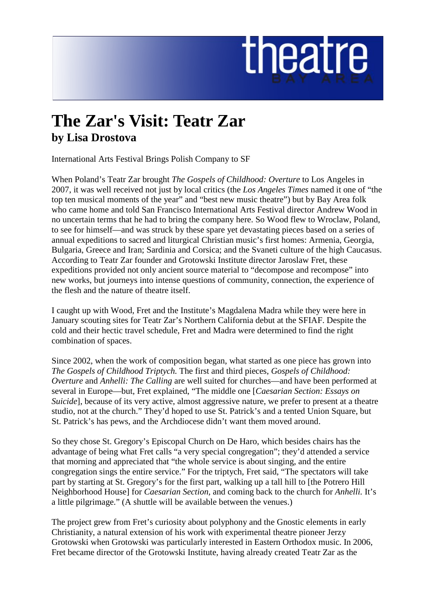## theatre

## **The Zar's Visit: Teatr Zar by Lisa Drostova**

International Arts Festival Brings Polish Company to SF

When Poland's Teatr Zar brought *The Gospels of Childhood: Overture* to Los Angeles in 2007, it was well received not just by local critics (the *Los Angeles Times* named it one of "the top ten musical moments of the year" and "best new music theatre") but by Bay Area folk who came home and told San Francisco International Arts Festival director Andrew Wood in no uncertain terms that he had to bring the company here. So Wood flew to Wroclaw, Poland, to see for himself—and was struck by these spare yet devastating pieces based on a series of annual expeditions to sacred and liturgical Christian music's first homes: Armenia, Georgia, Bulgaria, Greece and Iran; Sardinia and Corsica; and the Svaneti culture of the high Caucasus. According to Teatr Zar founder and Grotowski Institute director Jaroslaw Fret, these expeditions provided not only ancient source material to "decompose and recompose" into new works, but journeys into intense questions of community, connection, the experience of the flesh and the nature of theatre itself.

I caught up with Wood, Fret and the Institute's Magdalena Madra while they were here in January scouting sites for Teatr Zar's Northern California debut at the SFIAF. Despite the cold and their hectic travel schedule, Fret and Madra were determined to find the right combination of spaces.

Since 2002, when the work of composition began, what started as one piece has grown into *The Gospels of Childhood Triptych.* The first and third pieces, *Gospels of Childhood: Overture* and *Anhelli: The Calling* are well suited for churches—and have been performed at several in Europe—but, Fret explained, "The middle one [*Caesarian Section: Essays on Suicide*], because of its very active, almost aggressive nature, we prefer to present at a theatre studio, not at the church." They'd hoped to use St. Patrick's and a tented Union Square, but St. Patrick's has pews, and the Archdiocese didn't want them moved around.

So they chose St. Gregory's Episcopal Church on De Haro, which besides chairs has the advantage of being what Fret calls "a very special congregation"; they'd attended a service that morning and appreciated that "the whole service is about singing, and the entire congregation sings the entire service." For the triptych, Fret said, "The spectators will take part by starting at St. Gregory's for the first part, walking up a tall hill to [the Potrero Hill Neighborhood House] for *Caesarian Section,* and coming back to the church for *Anhelli.* It's a little pilgrimage." (A shuttle will be available between the venues.)

The project grew from Fret's curiosity about polyphony and the Gnostic elements in early Christianity, a natural extension of his work with experimental theatre pioneer Jerzy Grotowski when Grotowski was particularly interested in Eastern Orthodox music. In 2006, Fret became director of the Grotowski Institute, having already created Teatr Zar as the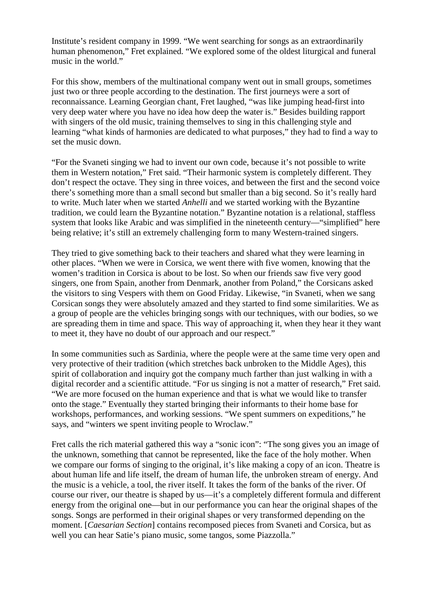Institute's resident company in 1999. "We went searching for songs as an extraordinarily human phenomenon," Fret explained. "We explored some of the oldest liturgical and funeral music in the world."

For this show, members of the multinational company went out in small groups, sometimes just two or three people according to the destination. The first journeys were a sort of reconnaissance. Learning Georgian chant, Fret laughed, "was like jumping head-first into very deep water where you have no idea how deep the water is." Besides building rapport with singers of the old music, training themselves to sing in this challenging style and learning "what kinds of harmonies are dedicated to what purposes," they had to find a way to set the music down.

"For the Svaneti singing we had to invent our own code, because it's not possible to write them in Western notation," Fret said. "Their harmonic system is completely different. They don't respect the octave. They sing in three voices, and between the first and the second voice there's something more than a small second but smaller than a big second. So it's really hard to write. Much later when we started *Anhelli* and we started working with the Byzantine tradition, we could learn the Byzantine notation." Byzantine notation is a relational, staffless system that looks like Arabic and was simplified in the nineteenth century—"simplified" here being relative; it's still an extremely challenging form to many Western-trained singers.

They tried to give something back to their teachers and shared what they were learning in other places. "When we were in Corsica, we went there with five women, knowing that the women's tradition in Corsica is about to be lost. So when our friends saw five very good singers, one from Spain, another from Denmark, another from Poland," the Corsicans asked the visitors to sing Vespers with them on Good Friday. Likewise, "in Svaneti, when we sang Corsican songs they were absolutely amazed and they started to find some similarities. We as a group of people are the vehicles bringing songs with our techniques, with our bodies, so we are spreading them in time and space. This way of approaching it, when they hear it they want to meet it, they have no doubt of our approach and our respect."

In some communities such as Sardinia, where the people were at the same time very open and very protective of their tradition (which stretches back unbroken to the Middle Ages), this spirit of collaboration and inquiry got the company much farther than just walking in with a digital recorder and a scientific attitude. "For us singing is not a matter of research," Fret said. "We are more focused on the human experience and that is what we would like to transfer onto the stage." Eventually they started bringing their informants to their home base for workshops, performances, and working sessions. "We spent summers on expeditions," he says, and "winters we spent inviting people to Wroclaw."

Fret calls the rich material gathered this way a "sonic icon": "The song gives you an image of the unknown, something that cannot be represented, like the face of the holy mother. When we compare our forms of singing to the original, it's like making a copy of an icon. Theatre is about human life and life itself, the dream of human life, the unbroken stream of energy. And the music is a vehicle, a tool, the river itself. It takes the form of the banks of the river. Of course our river, our theatre is shaped by us—it's a completely different formula and different energy from the original one—but in our performance you can hear the original shapes of the songs. Songs are performed in their original shapes or very transformed depending on the moment. [*Caesarian Section*] contains recomposed pieces from Svaneti and Corsica, but as well you can hear Satie's piano music, some tangos, some Piazzolla."